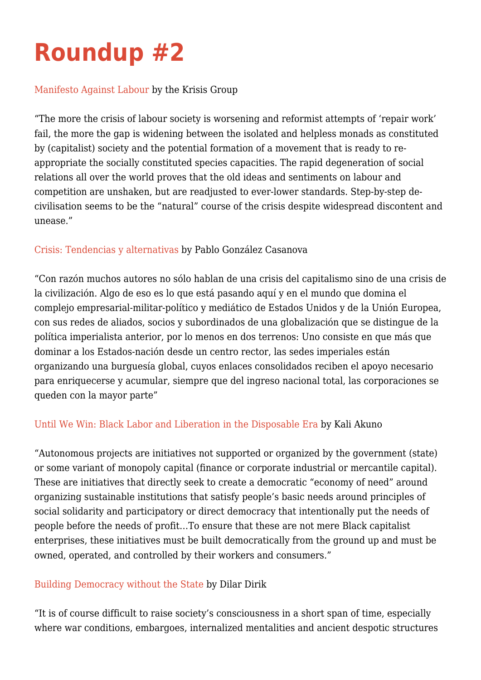# **[Roundup #2](http://intercommunalworkshop.org/roundup-2/)**

#### [Manifesto Against Labour](http://intercommunalworkshop.org/krisis-group-manifesto-against-labour/) by the Krisis Group

"The more the crisis of labour society is worsening and reformist attempts of 'repair work' fail, the more the gap is widening between the isolated and helpless monads as constituted by (capitalist) society and the potential formation of a movement that is ready to reappropriate the socially constituted species capacities. The rapid degeneration of social relations all over the world proves that the old ideas and sentiments on labour and competition are unshaken, but are readjusted to ever-lower standards. Step-by-step decivilisation seems to be the "natural" course of the crisis despite widespread discontent and unease."

#### [Crisis: Tendencias y alternativas](http://intercommunalworkshop.org/pablo-gonzalez-casanova-crisis-tendencias-y-alternativas/) by Pablo González Casanova

"Con razón muchos autores no sólo hablan de una crisis del capitalismo sino de una crisis de la civilización. Algo de eso es lo que está pasando aquí y en el mundo que domina el complejo empresarial-militar-político y mediático de Estados Unidos y de la Unión Europea, con sus redes de aliados, socios y subordinados de una globalización que se distingue de la política imperialista anterior, por lo menos en dos terrenos: Uno consiste en que más que dominar a los Estados-nación desde un centro rector, las sedes imperiales están organizando una burguesía global, cuyos enlaces consolidados reciben el apoyo necesario para enriquecerse y acumular, siempre que del ingreso nacional total, las corporaciones se queden con la mayor parte"

## [Until We Win: Black Labor and Liberation in the Disposable Era](http://intercommunalworkshop.org/kali-akuno-until-we-win-black-labor-and-liberation-in-the-disposable-era/) by Kali Akuno

"Autonomous projects are initiatives not supported or organized by the government (state) or some variant of monopoly capital (finance or corporate industrial or mercantile capital). These are initiatives that directly seek to create a democratic "economy of need" around organizing sustainable institutions that satisfy people's basic needs around principles of social solidarity and participatory or direct democracy that intentionally put the needs of people before the needs of profit…To ensure that these are not mere Black capitalist enterprises, these initiatives must be built democratically from the ground up and must be owned, operated, and controlled by their workers and consumers."

## [Building Democracy without the State](http://intercommunalworkshop.org/dilar-dirik-building-democracy-without-the-state/) by Dilar Dirik

"It is of course difficult to raise society's consciousness in a short span of time, especially where war conditions, embargoes, internalized mentalities and ancient despotic structures